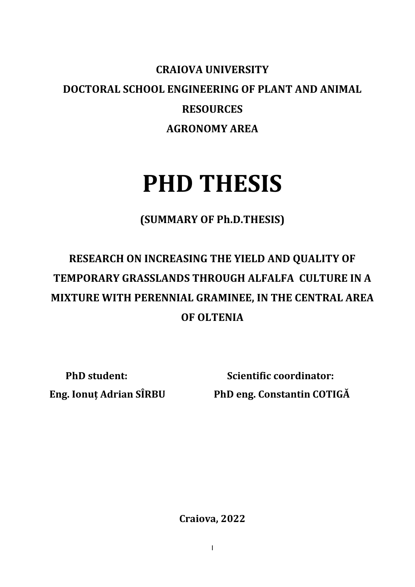## **CRAIOVA UNIVERSITY DOCTORAL SCHOOL ENGINEERING OF PLANT AND ANIMAL RESOURCES AGRONOMY AREA**

## **PHD THESIS**

**(SUMMARY OF Ph.D.THESIS)**

## **RESEARCH ON INCREASING THE YIELD AND QUALITY OF TEMPORARY GRASSLANDS THROUGH ALFALFA CULTURE IN A MIXTURE WITH PERENNIAL GRAMINEE, IN THE CENTRAL AREA OF OLTENIA**

**PhD student:** Scientific coordinator: **Eng. Ionuț Adrian SÎRBU PhD eng. Constantin COTIGĂ** 

**Craiova, 2022**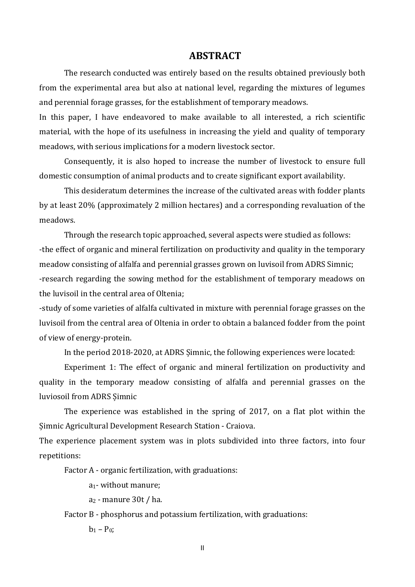## **ABSTRACT**

The research conducted was entirely based on the results obtained previously both from the experimental area but also at national level, regarding the mixtures of legumes and perennial forage grasses, for the establishment of temporary meadows.

In this paper, I have endeavored to make available to all interested, a rich scientific material, with the hope of its usefulness in increasing the yield and quality of temporary meadows, with serious implications for a modern livestock sector.

Consequently, it is also hoped to increase the number of livestock to ensure full domestic consumption of animal products and to create significant export availability.

This desideratum determines the increase of the cultivated areas with fodder plants by at least 20% (approximately 2 million hectares) and a corresponding revaluation of the meadows.

Through the research topic approached, several aspects were studied as follows: -the effect of organic and mineral fertilization on productivity and quality in the temporary meadow consisting of alfalfa and perennial grasses grown on luvisoil from ADRS Simnic; -research regarding the sowing method for the establishment of temporary meadows on the luvisoil in the central area of Oltenia;

-study of some varieties of alfalfa cultivated in mixture with perennial forage grasses on the luvisoil from the central area of Oltenia in order to obtain a balanced fodder from the point of view of energy-protein.

In the period 2018-2020, at ADRS Șimnic, the following experiences were located:

Experiment 1: The effect of organic and mineral fertilization on productivity and quality in the temporary meadow consisting of alfalfa and perennial grasses on the luviosoil from ADRS Șimnic

The experience was established in the spring of 2017, on a flat plot within the Șimnic Agricultural Development Research Station - Craiova.

The experience placement system was in plots subdivided into three factors, into four repetitions:

Factor A - organic fertilization, with graduations:

a1- without manure;

 $a_2$  - manure 30t / ha.

Factor B - phosphorus and potassium fertilization, with graduations:

 $b_1 - P_0$ ;

II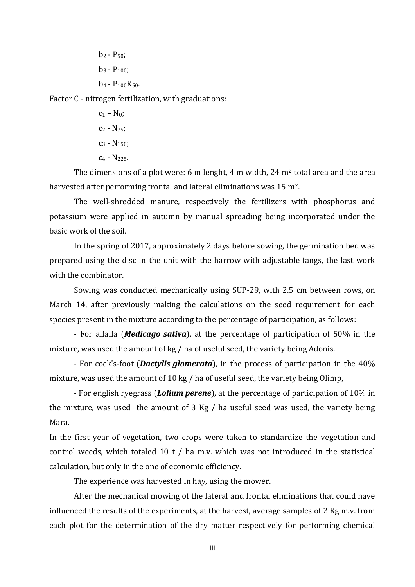$b_2 - P_{50}$ ;  $b_3 - P_{100}$ ;  $b_4 - P_{100}K_{50}$ .

Factor C - nitrogen fertilization, with graduations:

 $c_1 - N_0$ ;  $C_2 - N_{75}$ ;  $C_3$  - N<sub>150</sub>;  $C_4$  - N<sub>225</sub>.

The dimensions of a plot were: 6 m lenght, 4 m width, 24  $m<sup>2</sup>$  total area and the area harvested after performing frontal and lateral eliminations was 15 m2.

The well-shredded manure, respectively the fertilizers with phosphorus and potassium were applied in autumn by manual spreading being incorporated under the basic work of the soil.

In the spring of 2017, approximately 2 days before sowing, the germination bed was prepared using the disc in the unit with the harrow with adjustable fangs, the last work with the combinator.

Sowing was conducted mechanically using SUP-29, with 2.5 cm between rows, on March 14, after previously making the calculations on the seed requirement for each species present in the mixture according to the percentage of participation, as follows:

- For alfalfa (*Medicago sativa*), at the percentage of participation of 50% in the mixture, was used the amount of kg / ha of useful seed, the variety being Adonis.

- For cock's-foot (*Dactylis glomerata*), in the process of participation in the 40% mixture, was used the amount of 10 kg / ha of useful seed, the variety being Olimp,

- For english ryegrass (*Lolium perene*), at the percentage of participation of 10% in the mixture, was used the amount of 3 Kg / ha useful seed was used, the variety being Mara.

In the first year of vegetation, two crops were taken to standardize the vegetation and control weeds, which totaled 10 t / ha m.v. which was not introduced in the statistical calculation, but only in the one of economic efficiency.

The experience was harvested in hay, using the mower.

After the mechanical mowing of the lateral and frontal eliminations that could have influenced the results of the experiments, at the harvest, average samples of 2 Kg m.v. from each plot for the determination of the dry matter respectively for performing chemical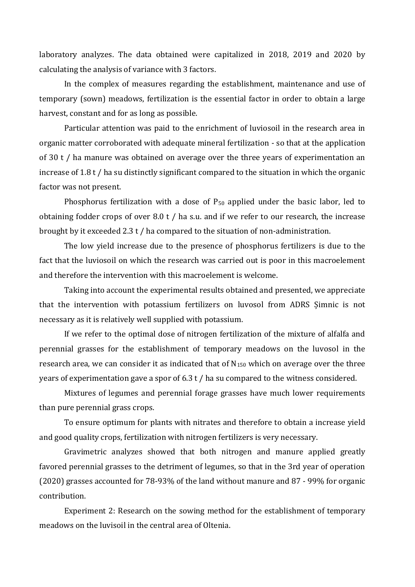laboratory analyzes. The data obtained were capitalized in 2018, 2019 and 2020 by calculating the analysis of variance with 3 factors.

In the complex of measures regarding the establishment, maintenance and use of temporary (sown) meadows, fertilization is the essential factor in order to obtain a large harvest, constant and for as long as possible.

Particular attention was paid to the enrichment of luviosoil in the research area in organic matter corroborated with adequate mineral fertilization - so that at the application of 30 t / ha manure was obtained on average over the three years of experimentation an increase of 1.8 t / ha su distinctly significant compared to the situation in which the organic factor was not present.

Phosphorus fertilization with a dose of  $P_{50}$  applied under the basic labor, led to obtaining fodder crops of over 8.0 t / ha s.u. and if we refer to our research, the increase brought by it exceeded 2.3 t / ha compared to the situation of non-administration.

The low yield increase due to the presence of phosphorus fertilizers is due to the fact that the luviosoil on which the research was carried out is poor in this macroelement and therefore the intervention with this macroelement is welcome.

Taking into account the experimental results obtained and presented, we appreciate that the intervention with potassium fertilizers on luvosol from ADRS Șimnic is not necessary as it is relatively well supplied with potassium.

If we refer to the optimal dose of nitrogen fertilization of the mixture of alfalfa and perennial grasses for the establishment of temporary meadows on the luvosol in the research area, we can consider it as indicated that of  $N_{150}$  which on average over the three years of experimentation gave a spor of 6.3 t / ha su compared to the witness considered.

Mixtures of legumes and perennial forage grasses have much lower requirements than pure perennial grass crops.

To ensure optimum for plants with nitrates and therefore to obtain a increase yield and good quality crops, fertilization with nitrogen fertilizers is very necessary.

Gravimetric analyzes showed that both nitrogen and manure applied greatly favored perennial grasses to the detriment of legumes, so that in the 3rd year of operation (2020) grasses accounted for 78-93% of the land without manure and 87 - 99% for organic contribution.

Experiment 2: Research on the sowing method for the establishment of temporary meadows on the luvisoil in the central area of Oltenia.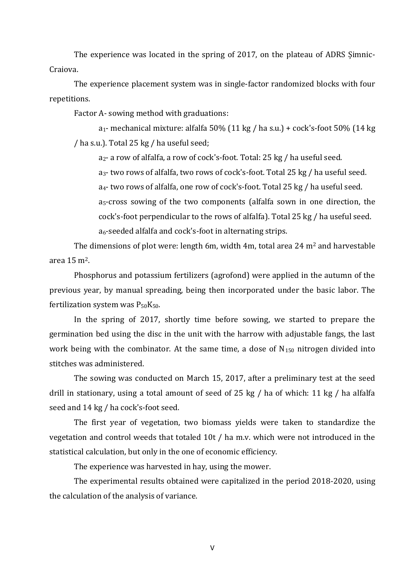The experience was located in the spring of 2017, on the plateau of ADRS Șimnic-Craiova.

The experience placement system was in single-factor randomized blocks with four repetitions.

Factor A- sowing method with graduations:

 $a_1$ - mechanical mixture: alfalfa 50% (11 kg / ha s.u.) + cock's-foot 50% (14 kg) / ha s.u.). Total 25 kg / ha useful seed;

a2- a row of alfalfa, a row of cock's-foot. Total: 25 kg / ha useful seed.

a3- two rows of alfalfa, two rows of cock's-foot. Total 25 kg / ha useful seed. a4- two rows of alfalfa, one row of cock's-foot. Total 25 kg / ha useful seed. a5-cross sowing of the two components (alfalfa sown in one direction, the cock's-foot perpendicular to the rows of alfalfa). Total 25 kg / ha useful seed. a6-seeded alfalfa and cock's-foot in alternating strips.

The dimensions of plot were: length 6m, width 4m, total area 24  $m<sup>2</sup>$  and harvestable area 15 m2.

Phosphorus and potassium fertilizers (agrofond) were applied in the autumn of the previous year, by manual spreading, being then incorporated under the basic labor. The fertilization system was  $P_{50}K_{50}$ .

In the spring of 2017, shortly time before sowing, we started to prepare the germination bed using the disc in the unit with the harrow with adjustable fangs, the last work being with the combinator. At the same time, a dose of  $N_{150}$  nitrogen divided into stitches was administered.

The sowing was conducted on March 15, 2017, after a preliminary test at the seed drill in stationary, using a total amount of seed of 25 kg / ha of which: 11 kg / ha alfalfa seed and 14 kg / ha cock's-foot seed.

The first year of vegetation, two biomass yields were taken to standardize the vegetation and control weeds that totaled 10t / ha m.v. which were not introduced in the statistical calculation, but only in the one of economic efficiency.

The experience was harvested in hay, using the mower.

The experimental results obtained were capitalized in the period 2018-2020, using the calculation of the analysis of variance.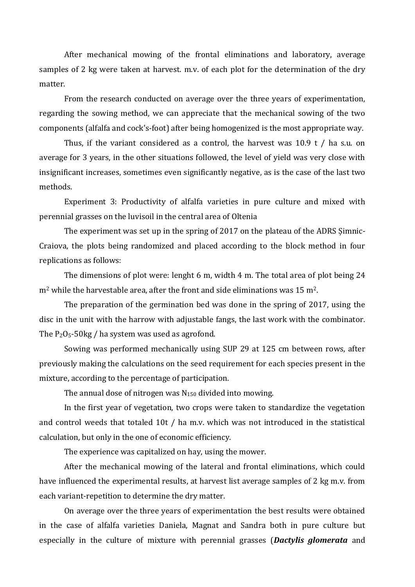After mechanical mowing of the frontal eliminations and laboratory, average samples of 2 kg were taken at harvest. m.v. of each plot for the determination of the dry matter.

From the research conducted on average over the three years of experimentation, regarding the sowing method, we can appreciate that the mechanical sowing of the two components (alfalfa and cock's-foot) after being homogenized is the most appropriate way.

Thus, if the variant considered as a control, the harvest was 10.9 t / ha s.u. on average for 3 years, in the other situations followed, the level of yield was very close with insignificant increases, sometimes even significantly negative, as is the case of the last two methods.

Experiment 3: Productivity of alfalfa varieties in pure culture and mixed with perennial grasses on the luvisoil in the central area of Oltenia

The experiment was set up in the spring of 2017 on the plateau of the ADRS Șimnic-Craiova, the plots being randomized and placed according to the block method in four replications as follows:

The dimensions of plot were: lenght 6 m, width 4 m. The total area of plot being 24  $m<sup>2</sup>$  while the harvestable area, after the front and side eliminations was 15 m<sup>2</sup>.

The preparation of the germination bed was done in the spring of 2017, using the disc in the unit with the harrow with adjustable fangs, the last work with the combinator. The  $P_2O_5$ -50kg / ha system was used as agrofond.

Sowing was performed mechanically using SUP 29 at 125 cm between rows, after previously making the calculations on the seed requirement for each species present in the mixture, according to the percentage of participation.

The annual dose of nitrogen was  $N_{150}$  divided into mowing.

In the first year of vegetation, two crops were taken to standardize the vegetation and control weeds that totaled 10t / ha m.v. which was not introduced in the statistical calculation, but only in the one of economic efficiency.

The experience was capitalized on hay, using the mower.

After the mechanical mowing of the lateral and frontal eliminations, which could have influenced the experimental results, at harvest list average samples of 2 kg m.v. from each variant-repetition to determine the dry matter.

On average over the three years of experimentation the best results were obtained in the case of alfalfa varieties Daniela, Magnat and Sandra both in pure culture but especially in the culture of mixture with perennial grasses (*Dactylis glomerata* and